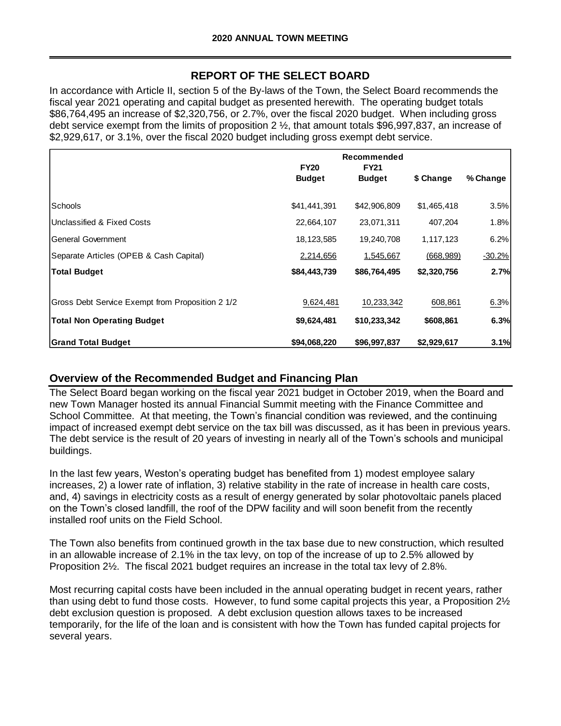# **REPORT OF THE SELECT BOARD**

In accordance with Article II, section 5 of the By-laws of the Town, the Select Board recommends the fiscal year 2021 operating and capital budget as presented herewith. The operating budget totals \$86,764,495 an increase of \$2,320,756, or 2.7%, over the fiscal 2020 budget. When including gross debt service exempt from the limits of proposition 2 ½, that amount totals \$96,997,837, an increase of \$2,929,617, or 3.1%, over the fiscal 2020 budget including gross exempt debt service.

|                                                  | <b>FY20</b>   | Recommended<br><b>FY21</b> |             |          |
|--------------------------------------------------|---------------|----------------------------|-------------|----------|
|                                                  | <b>Budget</b> | <b>Budget</b>              | \$ Change   | % Change |
| Schools                                          | \$41,441,391  | \$42,906,809               | \$1,465,418 | 3.5%     |
| Unclassified & Fixed Costs                       | 22,664,107    | 23,071,311                 | 407,204     | $1.8\%$  |
| <b>General Government</b>                        | 18, 123, 585  | 19,240,708                 | 1,117,123   | 6.2%     |
| Separate Articles (OPEB & Cash Capital)          | 2,214,656     | 1,545,667                  | (668, 989)  | $-30.2%$ |
| <b>Total Budget</b>                              | \$84,443,739  | \$86,764,495               | \$2,320,756 | 2.7%     |
|                                                  |               |                            |             |          |
| Gross Debt Service Exempt from Proposition 2 1/2 | 9,624,481     | 10,233,342                 | 608,861     | 6.3%     |
| <b>Total Non Operating Budget</b>                | \$9,624,481   | \$10,233,342               | \$608,861   | 6.3%     |
| <b>Grand Total Budget</b>                        | \$94,068,220  | \$96,997,837               | \$2,929,617 | 3.1%     |

## **Overview of the Recommended Budget and Financing Plan**

The Select Board began working on the fiscal year 2021 budget in October 2019, when the Board and new Town Manager hosted its annual Financial Summit meeting with the Finance Committee and School Committee. At that meeting, the Town's financial condition was reviewed, and the continuing impact of increased exempt debt service on the tax bill was discussed, as it has been in previous years. The debt service is the result of 20 years of investing in nearly all of the Town's schools and municipal buildings.

In the last few years, Weston's operating budget has benefited from 1) modest employee salary increases, 2) a lower rate of inflation, 3) relative stability in the rate of increase in health care costs, and, 4) savings in electricity costs as a result of energy generated by solar photovoltaic panels placed on the Town's closed landfill, the roof of the DPW facility and will soon benefit from the recently installed roof units on the Field School.

The Town also benefits from continued growth in the tax base due to new construction, which resulted in an allowable increase of 2.1% in the tax levy, on top of the increase of up to 2.5% allowed by Proposition 2½. The fiscal 2021 budget requires an increase in the total tax levy of 2.8%.

Most recurring capital costs have been included in the annual operating budget in recent years, rather than using debt to fund those costs. However, to fund some capital projects this year, a Proposition 2½ debt exclusion question is proposed. A debt exclusion question allows taxes to be increased temporarily, for the life of the loan and is consistent with how the Town has funded capital projects for several years.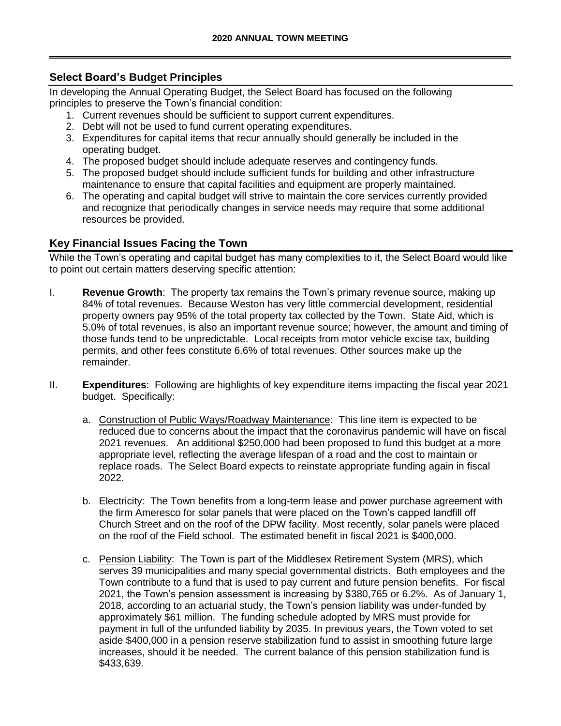# **Select Board's Budget Principles**

In developing the Annual Operating Budget, the Select Board has focused on the following principles to preserve the Town's financial condition:

- 1. Current revenues should be sufficient to support current expenditures.
- 2. Debt will not be used to fund current operating expenditures.
- 3. Expenditures for capital items that recur annually should generally be included in the operating budget.
- 4. The proposed budget should include adequate reserves and contingency funds.
- 5. The proposed budget should include sufficient funds for building and other infrastructure maintenance to ensure that capital facilities and equipment are properly maintained.
- 6. The operating and capital budget will strive to maintain the core services currently provided and recognize that periodically changes in service needs may require that some additional resources be provided.

## **Key Financial Issues Facing the Town**

While the Town's operating and capital budget has many complexities to it, the Select Board would like to point out certain matters deserving specific attention:

- I. **Revenue Growth**: The property tax remains the Town's primary revenue source, making up 84% of total revenues. Because Weston has very little commercial development, residential property owners pay 95% of the total property tax collected by the Town. State Aid, which is 5.0% of total revenues, is also an important revenue source; however, the amount and timing of those funds tend to be unpredictable. Local receipts from motor vehicle excise tax, building permits, and other fees constitute 6.6% of total revenues. Other sources make up the remainder.
- II. **Expenditures**: Following are highlights of key expenditure items impacting the fiscal year 2021 budget. Specifically:
	- a. Construction of Public Ways/Roadway Maintenance: This line item is expected to be reduced due to concerns about the impact that the coronavirus pandemic will have on fiscal 2021 revenues. An additional \$250,000 had been proposed to fund this budget at a more appropriate level, reflecting the average lifespan of a road and the cost to maintain or replace roads. The Select Board expects to reinstate appropriate funding again in fiscal 2022.
	- b. Electricity: The Town benefits from a long-term lease and power purchase agreement with the firm Ameresco for solar panels that were placed on the Town's capped landfill off Church Street and on the roof of the DPW facility. Most recently, solar panels were placed on the roof of the Field school. The estimated benefit in fiscal 2021 is \$400,000.
	- c. Pension Liability: The Town is part of the Middlesex Retirement System (MRS), which serves 39 municipalities and many special governmental districts. Both employees and the Town contribute to a fund that is used to pay current and future pension benefits. For fiscal 2021, the Town's pension assessment is increasing by \$380,765 or 6.2%. As of January 1, 2018, according to an actuarial study, the Town's pension liability was under-funded by approximately \$61 million. The funding schedule adopted by MRS must provide for payment in full of the unfunded liability by 2035. In previous years, the Town voted to set aside \$400,000 in a pension reserve stabilization fund to assist in smoothing future large increases, should it be needed. The current balance of this pension stabilization fund is \$433,639.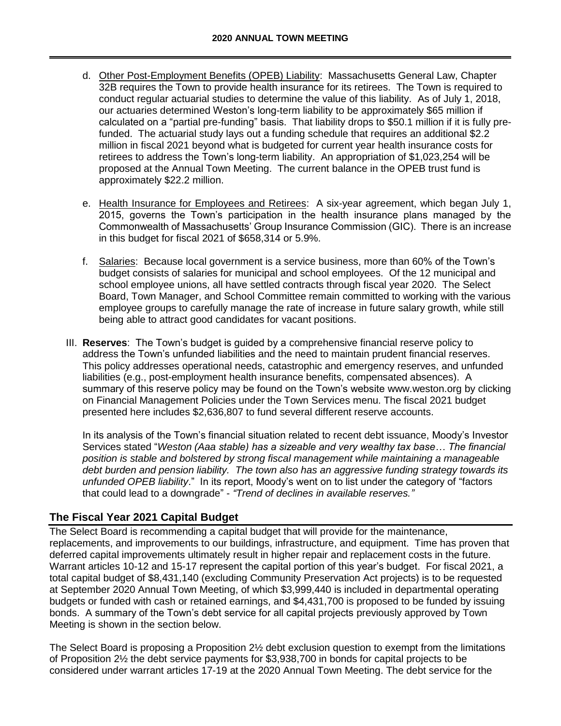- d. Other Post-Employment Benefits (OPEB) Liability: Massachusetts General Law, Chapter 32B requires the Town to provide health insurance for its retirees. The Town is required to conduct regular actuarial studies to determine the value of this liability. As of July 1, 2018, our actuaries determined Weston's long-term liability to be approximately \$65 million if calculated on a "partial pre-funding" basis. That liability drops to \$50.1 million if it is fully prefunded. The actuarial study lays out a funding schedule that requires an additional \$2.2 million in fiscal 2021 beyond what is budgeted for current year health insurance costs for retirees to address the Town's long-term liability. An appropriation of \$1,023,254 will be proposed at the Annual Town Meeting. The current balance in the OPEB trust fund is approximately \$22.2 million.
- e. Health Insurance for Employees and Retirees: A six-year agreement, which began July 1, 2015, governs the Town's participation in the health insurance plans managed by the Commonwealth of Massachusetts' Group Insurance Commission (GIC). There is an increase in this budget for fiscal 2021 of \$658,314 or 5.9%.
- f. Salaries: Because local government is a service business, more than 60% of the Town's budget consists of salaries for municipal and school employees. Of the 12 municipal and school employee unions, all have settled contracts through fiscal year 2020. The Select Board, Town Manager, and School Committee remain committed to working with the various employee groups to carefully manage the rate of increase in future salary growth, while still being able to attract good candidates for vacant positions.
- III. **Reserves**: The Town's budget is guided by a comprehensive financial reserve policy to address the Town's unfunded liabilities and the need to maintain prudent financial reserves. This policy addresses operational needs, catastrophic and emergency reserves, and unfunded liabilities (e.g., post-employment health insurance benefits, compensated absences). A summary of this reserve policy may be found on the Town's website www.weston.org by clicking on Financial Management Policies under the Town Services menu. The fiscal 2021 budget presented here includes \$2,636,807 to fund several different reserve accounts.

In its analysis of the Town's financial situation related to recent debt issuance, Moody's Investor Services stated "*Weston (Aaa stable) has a sizeable and very wealthy tax base… The financial position is stable and bolstered by strong fiscal management while maintaining a manageable debt burden and pension liability. The town also has an aggressive funding strategy towards its unfunded OPEB liability*." In its report, Moody's went on to list under the category of "factors that could lead to a downgrade" - *"Trend of declines in available reserves."* 

# **The Fiscal Year 2021 Capital Budget**

The Select Board is recommending a capital budget that will provide for the maintenance, replacements, and improvements to our buildings, infrastructure, and equipment. Time has proven that deferred capital improvements ultimately result in higher repair and replacement costs in the future. Warrant articles 10-12 and 15-17 represent the capital portion of this year's budget. For fiscal 2021, a total capital budget of \$8,431,140 (excluding Community Preservation Act projects) is to be requested at September 2020 Annual Town Meeting, of which \$3,999,440 is included in departmental operating budgets or funded with cash or retained earnings, and \$4,431,700 is proposed to be funded by issuing bonds. A summary of the Town's debt service for all capital projects previously approved by Town Meeting is shown in the section below.

The Select Board is proposing a Proposition 2½ debt exclusion question to exempt from the limitations of Proposition 2½ the debt service payments for \$3,938,700 in bonds for capital projects to be considered under warrant articles 17-19 at the 2020 Annual Town Meeting. The debt service for the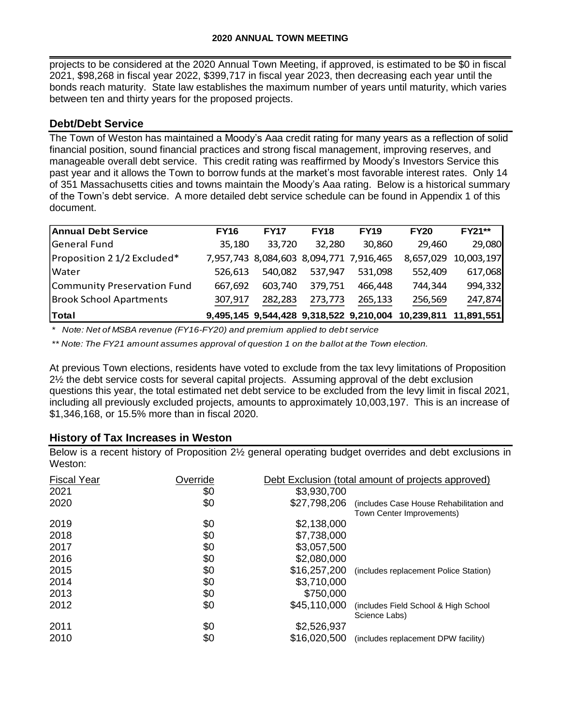projects to be considered at the 2020 Annual Town Meeting, if approved, is estimated to be \$0 in fiscal 2021, \$98,268 in fiscal year 2022, \$399,717 in fiscal year 2023, then decreasing each year until the bonds reach maturity. State law establishes the maximum number of years until maturity, which varies between ten and thirty years for the proposed projects.

## **Debt/Debt Service**

The Town of Weston has maintained a Moody's Aaa credit rating for many years as a reflection of solid financial position, sound financial practices and strong fiscal management, improving reserves, and manageable overall debt service. This credit rating was reaffirmed by Moody's Investors Service this past year and it allows the Town to borrow funds at the market's most favorable interest rates. Only 14 of 351 Massachusetts cities and towns maintain the Moody's Aaa rating. Below is a historical summary of the Town's debt service. A more detailed debt service schedule can be found in Appendix 1 of this document.

| <b>Annual Debt Service</b>     | <b>FY16</b> | <b>FY17</b> | <b>FY18</b>                             | <b>FY19</b> | <b>FY20</b>                                                   | <b>FY21**</b>        |
|--------------------------------|-------------|-------------|-----------------------------------------|-------------|---------------------------------------------------------------|----------------------|
| <b>General Fund</b>            | 35.180      | 33,720      | 32,280                                  | 30,860      | 29,460                                                        | 29,080               |
| Proposition 2 1/2 Excluded*    |             |             | 7,957,743 8,084,603 8,094,771 7,916,465 |             |                                                               | 8,657,029 10,003,197 |
| Water                          | 526.613     | 540,082     | 537,947                                 | 531,098     | 552,409                                                       | 617,068              |
| Community Preservation Fund    | 667.692     | 603.740     | 379,751                                 | 466,448     | 744,344                                                       | 994,332              |
| <b>Brook School Apartments</b> | 307,917     | 282,283     | 273,773                                 | 265,133     | 256,569                                                       | 247,874              |
| <b>Total</b>                   |             |             |                                         |             | 9,495,145 9,544,428 9,318,522 9,210,004 10,239,811 11,891,551 |                      |

*\* Note: Net of MSBA revenue (FY16-FY20) and premium applied to debt service*

*\*\* Note: The FY21 amount assumes approval of question 1 on the ballot at the Town election.*

At previous Town elections, residents have voted to exclude from the tax levy limitations of Proposition 2½ the debt service costs for several capital projects. Assuming approval of the debt exclusion questions this year, the total estimated net debt service to be excluded from the levy limit in fiscal 2021, including all previously excluded projects, amounts to approximately 10,003,197. This is an increase of \$1,346,168, or 15.5% more than in fiscal 2020.

## **History of Tax Increases in Weston**

Below is a recent history of Proposition 2½ general operating budget overrides and debt exclusions in Weston:

| <b>Fiscal Year</b><br>2021<br>2020 | Override<br>\$0<br>\$0 | \$3,930,700<br>\$27,798,206 | Debt Exclusion (total amount of projects approved)<br>(includes Case House Rehabilitation and |
|------------------------------------|------------------------|-----------------------------|-----------------------------------------------------------------------------------------------|
| 2019                               | \$0                    | \$2,138,000                 | Town Center Improvements)                                                                     |
| 2018                               | \$0                    | \$7,738,000                 |                                                                                               |
| 2017                               | \$0                    | \$3,057,500                 |                                                                                               |
| 2016                               | \$0                    | \$2,080,000                 | (includes replacement Police Station)                                                         |
| 2015                               | \$0                    | \$16,257,200                |                                                                                               |
| 2014                               | \$0                    | \$3,710,000                 |                                                                                               |
| 2013                               | \$0                    | \$750,000                   |                                                                                               |
| 2012                               | \$0                    | \$45,110,000                | (includes Field School & High School)<br>Science Labs)                                        |
| 2011                               | \$0                    | \$2,526,937                 | (includes replacement DPW facility)                                                           |
| 2010                               | \$0                    | \$16,020,500                |                                                                                               |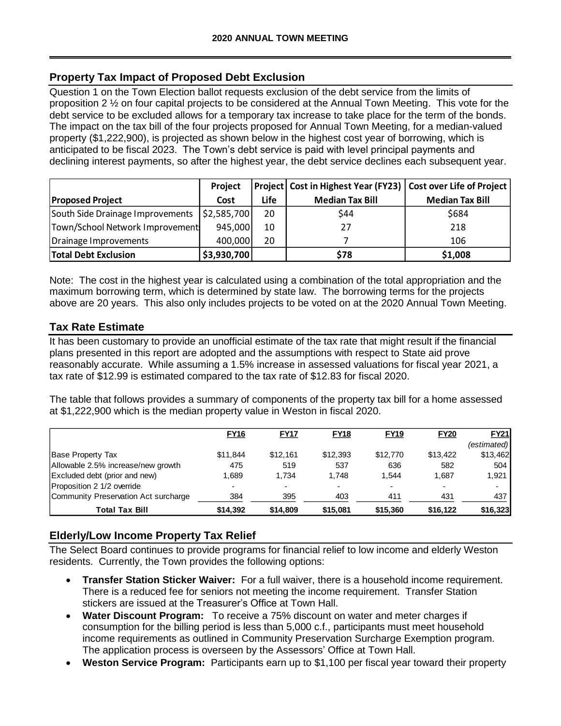# **Property Tax Impact of Proposed Debt Exclusion**

Question 1 on the Town Election ballot requests exclusion of the debt service from the limits of proposition 2 ½ on four capital projects to be considered at the Annual Town Meeting. This vote for the debt service to be excluded allows for a temporary tax increase to take place for the term of the bonds. The impact on the tax bill of the four projects proposed for Annual Town Meeting, for a median-valued property (\$1,222,900), is projected as shown below in the highest cost year of borrowing, which is anticipated to be fiscal 2023. The Town's debt service is paid with level principal payments and declining interest payments, so after the highest year, the debt service declines each subsequent year.

|                                  | Project     |      | Project   Cost in Highest Year (FY23)   Cost over Life of Project |                        |
|----------------------------------|-------------|------|-------------------------------------------------------------------|------------------------|
| <b>Proposed Project</b>          | Cost        | Life | <b>Median Tax Bill</b>                                            | <b>Median Tax Bill</b> |
| South Side Drainage Improvements | \$2,585,700 | 20   | \$44                                                              | \$684                  |
| Town/School Network Improvement  | 945,000     | 10   | 27                                                                | 218                    |
| Drainage Improvements            | 400,000     | 20   |                                                                   | 106                    |
| <b>Total Debt Exclusion</b>      | \$3,930,700 |      | \$78                                                              | \$1,008                |

# **Tax Rate Estimate**

| Project  | Project     |                                                  | Cost in Highest Year (FY23) |                                                                                            | <b>Cost over Life of Project</b>                                                                                                                                                                                                                                                                                                                                                                                                                                                                                                                                                                                                                                                                                                                                                                                                                                                          |
|----------|-------------|--------------------------------------------------|-----------------------------|--------------------------------------------------------------------------------------------|-------------------------------------------------------------------------------------------------------------------------------------------------------------------------------------------------------------------------------------------------------------------------------------------------------------------------------------------------------------------------------------------------------------------------------------------------------------------------------------------------------------------------------------------------------------------------------------------------------------------------------------------------------------------------------------------------------------------------------------------------------------------------------------------------------------------------------------------------------------------------------------------|
| Cost     | Life        | <b>Median Tax Bill</b>                           |                             | <b>Median Tax Bill</b>                                                                     |                                                                                                                                                                                                                                                                                                                                                                                                                                                                                                                                                                                                                                                                                                                                                                                                                                                                                           |
|          | 20          | \$44                                             |                             |                                                                                            |                                                                                                                                                                                                                                                                                                                                                                                                                                                                                                                                                                                                                                                                                                                                                                                                                                                                                           |
|          | 10          | 27                                               |                             |                                                                                            |                                                                                                                                                                                                                                                                                                                                                                                                                                                                                                                                                                                                                                                                                                                                                                                                                                                                                           |
|          | 20          | 7                                                |                             |                                                                                            |                                                                                                                                                                                                                                                                                                                                                                                                                                                                                                                                                                                                                                                                                                                                                                                                                                                                                           |
|          |             | \$78                                             |                             |                                                                                            |                                                                                                                                                                                                                                                                                                                                                                                                                                                                                                                                                                                                                                                                                                                                                                                                                                                                                           |
|          |             |                                                  |                             |                                                                                            |                                                                                                                                                                                                                                                                                                                                                                                                                                                                                                                                                                                                                                                                                                                                                                                                                                                                                           |
|          |             |                                                  |                             |                                                                                            | <b>FY21</b>                                                                                                                                                                                                                                                                                                                                                                                                                                                                                                                                                                                                                                                                                                                                                                                                                                                                               |
|          |             |                                                  |                             |                                                                                            | (estimated)                                                                                                                                                                                                                                                                                                                                                                                                                                                                                                                                                                                                                                                                                                                                                                                                                                                                               |
| \$11,844 | \$12,161    |                                                  |                             |                                                                                            |                                                                                                                                                                                                                                                                                                                                                                                                                                                                                                                                                                                                                                                                                                                                                                                                                                                                                           |
|          |             | \$12,393                                         | \$12,770                    | \$13,422                                                                                   | \$13,462                                                                                                                                                                                                                                                                                                                                                                                                                                                                                                                                                                                                                                                                                                                                                                                                                                                                                  |
| 475      |             | 537<br>519                                       | 636                         | 582                                                                                        | 504                                                                                                                                                                                                                                                                                                                                                                                                                                                                                                                                                                                                                                                                                                                                                                                                                                                                                       |
| 1,689    | 1,734       | 1,748                                            | 1,544                       | 1,687                                                                                      | 1,921                                                                                                                                                                                                                                                                                                                                                                                                                                                                                                                                                                                                                                                                                                                                                                                                                                                                                     |
| 384      |             | 403<br>395                                       | 411                         | 431                                                                                        | 437                                                                                                                                                                                                                                                                                                                                                                                                                                                                                                                                                                                                                                                                                                                                                                                                                                                                                       |
| \$14,392 | \$14,809    | \$15,081                                         | \$15,360                    | \$16,122                                                                                   | \$16,323                                                                                                                                                                                                                                                                                                                                                                                                                                                                                                                                                                                                                                                                                                                                                                                                                                                                                  |
|          | <b>FY16</b> | \$2,585,700<br>945,000<br>400,000<br>\$3,930,700 | <b>FY17</b><br><b>FY18</b>  | at \$1,222,900 which is the median property value in Weston in fiscal 2020.<br><b>FY19</b> | \$684<br>218<br>106<br>\$1,008<br>Note: The cost in the highest year is calculated using a combination of the total appropriation and the<br>maximum borrowing term, which is determined by state law. The borrowing terms for the projects<br>above are 20 years. This also only includes projects to be voted on at the 2020 Annual Town Meeting.<br>It has been customary to provide an unofficial estimate of the tax rate that might result if the financial<br>plans presented in this report are adopted and the assumptions with respect to State aid prove<br>reasonably accurate. While assuming a 1.5% increase in assessed valuations for fiscal year 2021, a<br>tax rate of \$12.99 is estimated compared to the tax rate of \$12.83 for fiscal 2020.<br>The table that follows provides a summary of components of the property tax bill for a home assessed<br><b>FY20</b> |

# **Elderly/Low Income Property Tax Relief**

- **Transfer Station Sticker Waiver:** For a full waiver, there is a household income requirement. There is a reduced fee for seniors not meeting the income requirement. Transfer Station stickers are issued at the Treasurer's Office at Town Hall.
- **Water Discount Program:** To receive a 75% discount on water and meter charges if consumption for the billing period is less than 5,000 c.f., participants must meet household income requirements as outlined in Community Preservation Surcharge Exemption program. The application process is overseen by the Assessors' Office at Town Hall.
-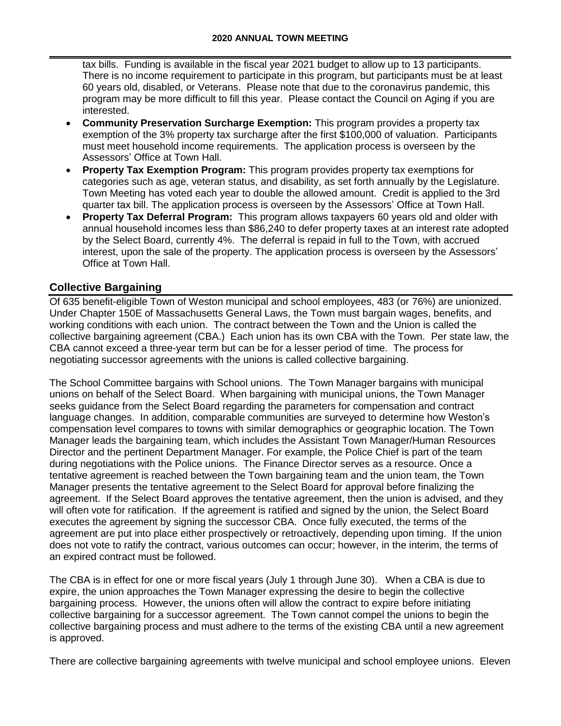tax bills. Funding is available in the fiscal year 2021 budget to allow up to 13 participants. There is no income requirement to participate in this program, but participants must be at least 60 years old, disabled, or Veterans. Please note that due to the coronavirus pandemic, this program may be more difficult to fill this year. Please contact the Council on Aging if you are interested.

- **Community Preservation Surcharge Exemption:** This program provides a property tax exemption of the 3% property tax surcharge after the first \$100,000 of valuation. Participants must meet household income requirements. The application process is overseen by the Assessors' Office at Town Hall.
- **Property Tax Exemption Program:** This program provides property tax exemptions for categories such as age, veteran status, and disability, as set forth annually by the Legislature. Town Meeting has voted each year to double the allowed amount. Credit is applied to the 3rd quarter tax bill. The application process is overseen by the Assessors' Office at Town Hall.
- **Property Tax Deferral Program:** This program allows taxpayers 60 years old and older with annual household incomes less than \$86,240 to defer property taxes at an interest rate adopted by the Select Board, currently 4%. The deferral is repaid in full to the Town, with accrued interest, upon the sale of the property. The application process is overseen by the Assessors' Office at Town Hall.

# **Collective Bargaining**

Of 635 benefit-eligible Town of Weston municipal and school employees, 483 (or 76%) are unionized. Under Chapter 150E of Massachusetts General Laws, the Town must bargain wages, benefits, and working conditions with each union. The contract between the Town and the Union is called the collective bargaining agreement (CBA.) Each union has its own CBA with the Town. Per state law, the CBA cannot exceed a three-year term but can be for a lesser period of time. The process for negotiating successor agreements with the unions is called collective bargaining.

The School Committee bargains with School unions. The Town Manager bargains with municipal unions on behalf of the Select Board. When bargaining with municipal unions, the Town Manager seeks guidance from the Select Board regarding the parameters for compensation and contract language changes. In addition, comparable communities are surveyed to determine how Weston's compensation level compares to towns with similar demographics or geographic location. The Town Manager leads the bargaining team, which includes the Assistant Town Manager/Human Resources Director and the pertinent Department Manager. For example, the Police Chief is part of the team during negotiations with the Police unions. The Finance Director serves as a resource. Once a tentative agreement is reached between the Town bargaining team and the union team, the Town Manager presents the tentative agreement to the Select Board for approval before finalizing the agreement. If the Select Board approves the tentative agreement, then the union is advised, and they will often vote for ratification. If the agreement is ratified and signed by the union, the Select Board executes the agreement by signing the successor CBA. Once fully executed, the terms of the agreement are put into place either prospectively or retroactively, depending upon timing. If the union does not vote to ratify the contract, various outcomes can occur; however, in the interim, the terms of an expired contract must be followed.

The CBA is in effect for one or more fiscal years (July 1 through June 30). When a CBA is due to expire, the union approaches the Town Manager expressing the desire to begin the collective bargaining process. However, the unions often will allow the contract to expire before initiating collective bargaining for a successor agreement. The Town cannot compel the unions to begin the collective bargaining process and must adhere to the terms of the existing CBA until a new agreement is approved.

There are collective bargaining agreements with twelve municipal and school employee unions. Eleven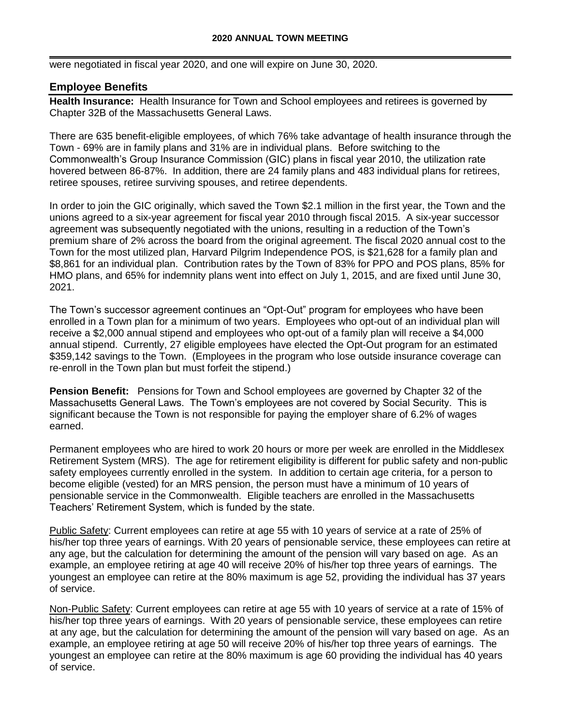were negotiated in fiscal year 2020, and one will expire on June 30, 2020.

## **Employee Benefits**

**Health Insurance:** Health Insurance for Town and School employees and retirees is governed by Chapter 32B of the Massachusetts General Laws.

There are 635 benefit-eligible employees, of which 76% take advantage of health insurance through the Town - 69% are in family plans and 31% are in individual plans. Before switching to the Commonwealth's Group Insurance Commission (GIC) plans in fiscal year 2010, the utilization rate hovered between 86-87%. In addition, there are 24 family plans and 483 individual plans for retirees, retiree spouses, retiree surviving spouses, and retiree dependents.

In order to join the GIC originally, which saved the Town \$2.1 million in the first year, the Town and the unions agreed to a six-year agreement for fiscal year 2010 through fiscal 2015. A six-year successor agreement was subsequently negotiated with the unions, resulting in a reduction of the Town's premium share of 2% across the board from the original agreement. The fiscal 2020 annual cost to the Town for the most utilized plan, Harvard Pilgrim Independence POS, is \$21,628 for a family plan and \$8,861 for an individual plan. Contribution rates by the Town of 83% for PPO and POS plans, 85% for HMO plans, and 65% for indemnity plans went into effect on July 1, 2015, and are fixed until June 30, 2021.

The Town's successor agreement continues an "Opt-Out" program for employees who have been enrolled in a Town plan for a minimum of two years. Employees who opt-out of an individual plan will receive a \$2,000 annual stipend and employees who opt-out of a family plan will receive a \$4,000 annual stipend. Currently, 27 eligible employees have elected the Opt-Out program for an estimated \$359,142 savings to the Town. (Employees in the program who lose outside insurance coverage can re-enroll in the Town plan but must forfeit the stipend.)

**Pension Benefit:** Pensions for Town and School employees are governed by Chapter 32 of the Massachusetts General Laws. The Town's employees are not covered by Social Security. This is significant because the Town is not responsible for paying the employer share of 6.2% of wages earned.

Permanent employees who are hired to work 20 hours or more per week are enrolled in the Middlesex Retirement System (MRS). The age for retirement eligibility is different for public safety and non-public safety employees currently enrolled in the system. In addition to certain age criteria, for a person to become eligible (vested) for an MRS pension, the person must have a minimum of 10 years of pensionable service in the Commonwealth. Eligible teachers are enrolled in the Massachusetts Teachers' Retirement System, which is funded by the state.

Public Safety: Current employees can retire at age 55 with 10 years of service at a rate of 25% of his/her top three years of earnings. With 20 years of pensionable service, these employees can retire at any age, but the calculation for determining the amount of the pension will vary based on age. As an example, an employee retiring at age 40 will receive 20% of his/her top three years of earnings. The youngest an employee can retire at the 80% maximum is age 52, providing the individual has 37 years of service.

Non-Public Safety: Current employees can retire at age 55 with 10 years of service at a rate of 15% of his/her top three years of earnings. With 20 years of pensionable service, these employees can retire at any age, but the calculation for determining the amount of the pension will vary based on age. As an example, an employee retiring at age 50 will receive 20% of his/her top three years of earnings. The youngest an employee can retire at the 80% maximum is age 60 providing the individual has 40 years of service.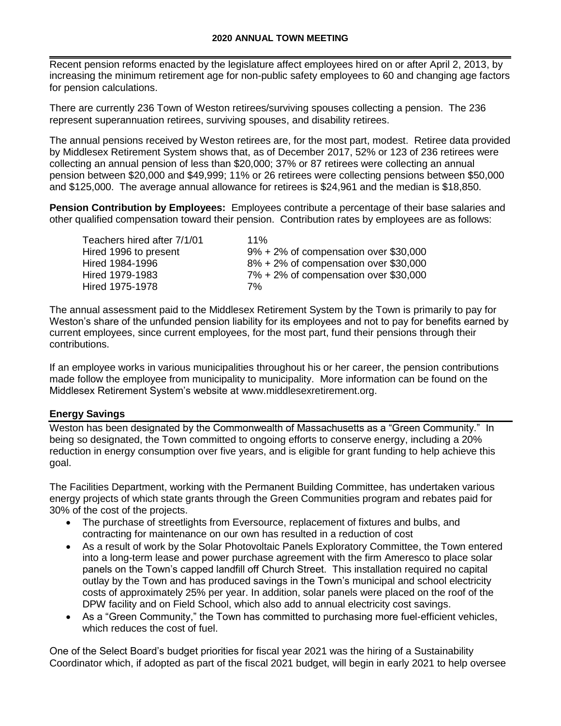Recent pension reforms enacted by the legislature affect employees hired on or after April 2, 2013, by increasing the minimum retirement age for non-public safety employees to 60 and changing age factors for pension calculations.

There are currently 236 Town of Weston retirees/surviving spouses collecting a pension. The 236 represent superannuation retirees, surviving spouses, and disability retirees.

The annual pensions received by Weston retirees are, for the most part, modest. Retiree data provided by Middlesex Retirement System shows that, as of December 2017, 52% or 123 of 236 retirees were collecting an annual pension of less than \$20,000; 37% or 87 retirees were collecting an annual pension between \$20,000 and \$49,999; 11% or 26 retirees were collecting pensions between \$50,000 and \$125,000. The average annual allowance for retirees is \$24,961 and the median is \$18,850.

**Pension Contribution by Employees:** Employees contribute a percentage of their base salaries and other qualified compensation toward their pension. Contribution rates by employees are as follows:

| Teachers hired after 7/1/01 | $11\%$                                    |
|-----------------------------|-------------------------------------------|
| Hired 1996 to present       | $9\% + 2\%$ of compensation over \$30,000 |
| Hired 1984-1996             | $8\% + 2\%$ of compensation over \$30,000 |
| Hired 1979-1983             | $7\% + 2\%$ of compensation over \$30,000 |
| Hired 1975-1978             | 7%                                        |

The annual assessment paid to the Middlesex Retirement System by the Town is primarily to pay for Weston's share of the unfunded pension liability for its employees and not to pay for benefits earned by current employees, since current employees, for the most part, fund their pensions through their contributions.

If an employee works in various municipalities throughout his or her career, the pension contributions made follow the employee from municipality to municipality. More information can be found on the Middlesex Retirement System's website at www.middlesexretirement.org.

#### **Energy Savings**

Weston has been designated by the Commonwealth of Massachusetts as a "Green Community." In being so designated, the Town committed to ongoing efforts to conserve energy, including a 20% reduction in energy consumption over five years, and is eligible for grant funding to help achieve this goal.

The Facilities Department, working with the Permanent Building Committee, has undertaken various energy projects of which state grants through the Green Communities program and rebates paid for 30% of the cost of the projects.

- The purchase of streetlights from Eversource, replacement of fixtures and bulbs, and contracting for maintenance on our own has resulted in a reduction of cost
- As a result of work by the Solar Photovoltaic Panels Exploratory Committee, the Town entered into a long-term lease and power purchase agreement with the firm Ameresco to place solar panels on the Town's capped landfill off Church Street. This installation required no capital outlay by the Town and has produced savings in the Town's municipal and school electricity costs of approximately 25% per year. In addition, solar panels were placed on the roof of the DPW facility and on Field School, which also add to annual electricity cost savings.
- As a "Green Community," the Town has committed to purchasing more fuel-efficient vehicles, which reduces the cost of fuel.

One of the Select Board's budget priorities for fiscal year 2021 was the hiring of a Sustainability Coordinator which, if adopted as part of the fiscal 2021 budget, will begin in early 2021 to help oversee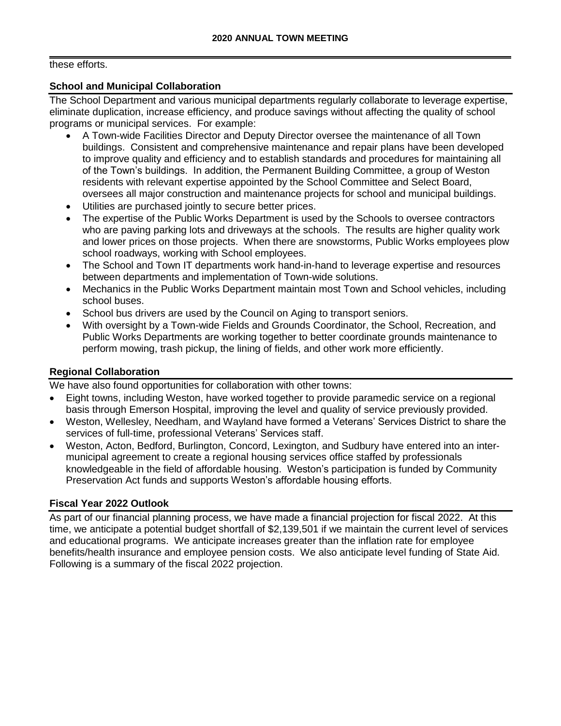#### these efforts.

#### **School and Municipal Collaboration**

The School Department and various municipal departments regularly collaborate to leverage expertise, eliminate duplication, increase efficiency, and produce savings without affecting the quality of school programs or municipal services. For example:

- A Town-wide Facilities Director and Deputy Director oversee the maintenance of all Town buildings. Consistent and comprehensive maintenance and repair plans have been developed to improve quality and efficiency and to establish standards and procedures for maintaining all of the Town's buildings. In addition, the Permanent Building Committee, a group of Weston residents with relevant expertise appointed by the School Committee and Select Board, oversees all major construction and maintenance projects for school and municipal buildings.
- Utilities are purchased jointly to secure better prices.
- The expertise of the Public Works Department is used by the Schools to oversee contractors who are paving parking lots and driveways at the schools. The results are higher quality work and lower prices on those projects. When there are snowstorms, Public Works employees plow school roadways, working with School employees.
- The School and Town IT departments work hand-in-hand to leverage expertise and resources between departments and implementation of Town-wide solutions.
- Mechanics in the Public Works Department maintain most Town and School vehicles, including school buses.
- School bus drivers are used by the Council on Aging to transport seniors.
- With oversight by a Town-wide Fields and Grounds Coordinator, the School, Recreation, and Public Works Departments are working together to better coordinate grounds maintenance to perform mowing, trash pickup, the lining of fields, and other work more efficiently.

#### **Regional Collaboration**

We have also found opportunities for collaboration with other towns:

- Eight towns, including Weston, have worked together to provide paramedic service on a regional basis through Emerson Hospital, improving the level and quality of service previously provided.
- Weston, Wellesley, Needham, and Wayland have formed a Veterans' Services District to share the services of full-time, professional Veterans' Services staff.
- Weston, Acton, Bedford, Burlington, Concord, Lexington, and Sudbury have entered into an intermunicipal agreement to create a regional housing services office staffed by professionals knowledgeable in the field of affordable housing. Weston's participation is funded by Community Preservation Act funds and supports Weston's affordable housing efforts.

#### **Fiscal Year 2022 Outlook**

As part of our financial planning process, we have made a financial projection for fiscal 2022. At this time, we anticipate a potential budget shortfall of \$2,139,501 if we maintain the current level of services and educational programs. We anticipate increases greater than the inflation rate for employee benefits/health insurance and employee pension costs. We also anticipate level funding of State Aid. Following is a summary of the fiscal 2022 projection.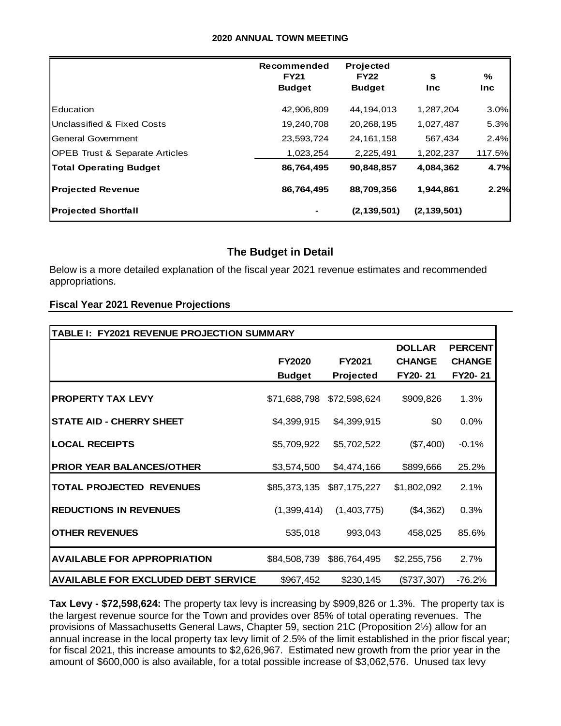#### **2020 ANNUAL TOWN MEETING**

|                                           | Recommended<br><b>FY21</b><br><b>Budget</b> | Projected<br><b>FY22</b><br><b>Budget</b> | \$<br><b>Inc</b> | %<br><b>Inc</b> |
|-------------------------------------------|---------------------------------------------|-------------------------------------------|------------------|-----------------|
| Education                                 | 42,906,809                                  | 44,194,013                                | 1,287,204        | 3.0%            |
| Unclassified & Fixed Costs                | 19,240,708                                  | 20,268,195                                | 1,027,487        | 5.3%            |
| General Government                        | 23,593,724                                  | 24, 161, 158                              | 567,434          | 2.4%            |
| <b>OPEB Trust &amp; Separate Articles</b> | 1,023,254                                   | 2,225,491                                 | 1,202,237        | 117.5%          |
| <b>Total Operating Budget</b>             | 86,764,495                                  | 90.848.857                                | 4.084.362        | 4.7%            |
| <b>Projected Revenue</b>                  | 86,764,495                                  | 88,709,356                                | 1.944.861        | 2.2%            |
| <b>Projected Shortfall</b>                |                                             | (2, 139, 501)                             | (2, 139, 501)    |                 |

## **The Budget in Detail**

#### **Fiscal Year 2021 Revenue Projections**

|                                                                                                                                                                                                                                                                                                                                                                                                                                                                                                                                                                                                                                                      | Recommended<br><b>FY21</b><br><b>Budget</b> | <b>Projected</b><br><b>FY22</b><br><b>Budget</b> | \$<br>Inc               | %<br><b>Inc</b> |
|------------------------------------------------------------------------------------------------------------------------------------------------------------------------------------------------------------------------------------------------------------------------------------------------------------------------------------------------------------------------------------------------------------------------------------------------------------------------------------------------------------------------------------------------------------------------------------------------------------------------------------------------------|---------------------------------------------|--------------------------------------------------|-------------------------|-----------------|
| Education                                                                                                                                                                                                                                                                                                                                                                                                                                                                                                                                                                                                                                            | 42,906,809<br>44,194,013                    |                                                  | 1,287,204               | 3.0             |
| Unclassified & Fixed Costs                                                                                                                                                                                                                                                                                                                                                                                                                                                                                                                                                                                                                           | 19,240,708                                  | 20,268,195                                       | 1,027,487               | 5.3             |
| <b>General Government</b>                                                                                                                                                                                                                                                                                                                                                                                                                                                                                                                                                                                                                            | 23,593,724                                  | 24, 161, 158                                     | 567,434                 | 2.4             |
| <b>OPEB Trust &amp; Separate Articles</b>                                                                                                                                                                                                                                                                                                                                                                                                                                                                                                                                                                                                            | 1,023,254<br>2,225,491                      |                                                  | 1,202,237               | 117.5           |
| <b>Total Operating Budget</b>                                                                                                                                                                                                                                                                                                                                                                                                                                                                                                                                                                                                                        | 86,764,495<br>90,848,857                    |                                                  | 4,084,362               | 4.7             |
| <b>Projected Revenue</b>                                                                                                                                                                                                                                                                                                                                                                                                                                                                                                                                                                                                                             | 86,764,495                                  |                                                  | 88,709,356<br>1,944,861 |                 |
| <b>Projected Shortfall</b>                                                                                                                                                                                                                                                                                                                                                                                                                                                                                                                                                                                                                           |                                             | (2, 139, 501)                                    | (2, 139, 501)           |                 |
| Below is a more detailed explanation of the fiscal year 2021 revenue estimates and recommended<br>appropriations.<br><b>Fiscal Year 2021 Revenue Projections</b><br>TABLE I: FY2021 REVENUE PROJECTION SUMMARY                                                                                                                                                                                                                                                                                                                                                                                                                                       |                                             |                                                  |                         |                 |
|                                                                                                                                                                                                                                                                                                                                                                                                                                                                                                                                                                                                                                                      |                                             |                                                  | <b>DOLLAR</b>           | <b>PERCENT</b>  |
|                                                                                                                                                                                                                                                                                                                                                                                                                                                                                                                                                                                                                                                      | <b>FY2020</b>                               | FY2021                                           | <b>CHANGE</b>           | <b>CHANGE</b>   |
|                                                                                                                                                                                                                                                                                                                                                                                                                                                                                                                                                                                                                                                      | <b>Budget</b>                               | Projected                                        | FY20-21                 | FY20-21         |
| <b>PROPERTY TAX LEVY</b>                                                                                                                                                                                                                                                                                                                                                                                                                                                                                                                                                                                                                             | \$71,688,798                                | \$72,598,624                                     | \$909,826               | 1.3%            |
| <b>STATE AID - CHERRY SHEET</b>                                                                                                                                                                                                                                                                                                                                                                                                                                                                                                                                                                                                                      | \$4,399,915                                 | \$4,399,915                                      | \$0                     | $0.0\%$         |
| <b>LOCAL RECEIPTS</b>                                                                                                                                                                                                                                                                                                                                                                                                                                                                                                                                                                                                                                | \$5,709,922                                 | \$5,702,522                                      | (\$7,400)               | $-0.1%$         |
| <b>PRIOR YEAR BALANCES/OTHER</b>                                                                                                                                                                                                                                                                                                                                                                                                                                                                                                                                                                                                                     | \$3,574,500                                 | \$4,474,166                                      | \$899,666               | 25.2%           |
| <b>TOTAL PROJECTED REVENUES</b>                                                                                                                                                                                                                                                                                                                                                                                                                                                                                                                                                                                                                      |                                             | \$85,373,135 \$87,175,227                        | \$1,802,092             | 2.1%            |
| <b>REDUCTIONS IN REVENUES</b>                                                                                                                                                                                                                                                                                                                                                                                                                                                                                                                                                                                                                        | (1,399,414)                                 | (1,403,775)                                      | (\$4,362)               | 0.3%            |
| <b>OTHER REVENUES</b>                                                                                                                                                                                                                                                                                                                                                                                                                                                                                                                                                                                                                                | 535,018                                     | 993,043                                          | 458,025                 | 85.6%           |
| <b>AVAILABLE FOR APPROPRIATION</b>                                                                                                                                                                                                                                                                                                                                                                                                                                                                                                                                                                                                                   | \$84,508,739                                | \$86,764,495                                     | \$2,255,756             | 2.7%            |
| <b>AVAILABLE FOR EXCLUDED DEBT SERVICE</b>                                                                                                                                                                                                                                                                                                                                                                                                                                                                                                                                                                                                           | \$967,452                                   | \$230,145                                        | $(\$737,307)$           | $-76.2%$        |
| <b>Tax Levy - \$72,598,624:</b> The property tax levy is increasing by \$909,826 or 1.3%. The property tax i<br>the largest revenue source for the Town and provides over 85% of total operating revenues. The<br>provisions of Massachusetts General Laws, Chapter 59, section 21C (Proposition 2½) allow for an<br>annual increase in the local property tax levy limit of 2.5% of the limit established in the prior fiscal yea<br>for fiscal 2021, this increase amounts to \$2,626,967. Estimated new growth from the prior year in the<br>amount of \$600,000 is also available, for a total possible increase of \$3,062,576. Unused tax levy |                                             |                                                  |                         |                 |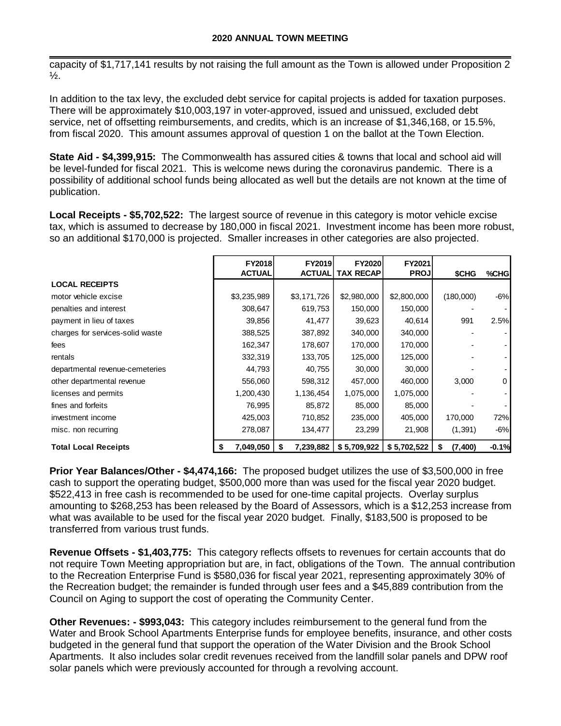capacity of \$1,717,141 results by not raising the full amount as the Town is allowed under Proposition 2  $\frac{1}{2}$ .

In addition to the tax levy, the excluded debt service for capital projects is added for taxation purposes. There will be approximately \$10,003,197 in voter-approved, issued and unissued, excluded debt service, net of offsetting reimbursements, and credits, which is an increase of \$1,346,168, or 15.5%, from fiscal 2020. This amount assumes approval of question 1 on the ballot at the Town Election.

**State Aid - \$4,399,915:** The Commonwealth has assured cities & towns that local and school aid will be level-funded for fiscal 2021. This is welcome news during the coronavirus pandemic. There is a possibility of additional school funds being allocated as well but the details are not known at the time of publication.

**Local Receipts - \$5,702,522:** The largest source of revenue in this category is motor vehicle excise tax, which is assumed to decrease by 180,000 in fiscal 2021. Investment income has been more robust, so an additional \$170,000 is projected. Smaller increases in other categories are also projected.

|                                  | FY2018<br><b>ACTUAL</b> | <b>FY2019</b><br><b>ACTUAL</b> | <b>FY2020</b><br><b>TAX RECAP</b> | FY2021<br><b>PROJ</b> | \$CHG         | %CHG    |
|----------------------------------|-------------------------|--------------------------------|-----------------------------------|-----------------------|---------------|---------|
| <b>LOCAL RECEIPTS</b>            |                         |                                |                                   |                       |               |         |
| motor vehicle excise             | \$3,235,989             | \$3,171,726                    | \$2,980,000                       | \$2,800,000           | (180,000)     | $-6%$   |
| penalties and interest           | 308,647                 | 619,753                        | 150,000                           | 150,000               |               |         |
| payment in lieu of taxes         | 39,856                  | 41,477                         | 39,623                            | 40,614                | 991           | 2.5%    |
| charges for services-solid waste | 388,525                 | 387,892                        | 340,000                           | 340,000               |               |         |
| fees                             | 162,347                 | 178,607                        | 170,000                           | 170,000               |               |         |
| rentals                          | 332,319                 | 133,705                        | 125,000                           | 125,000               |               |         |
| departmental revenue-cemeteries  | 44,793                  | 40,755                         | 30,000                            | 30,000                |               |         |
| other departmental revenue       | 556,060                 | 598,312                        | 457,000                           | 460,000               | 3,000         | 0       |
| licenses and permits             | 1,200,430               | 1,136,454                      | 1,075,000                         | 1,075,000             |               |         |
| fines and forfeits               | 76,995                  | 85,872                         | 85,000                            | 85,000                |               |         |
| investment income                | 425,003                 | 710,852                        | 235,000                           | 405,000               | 170,000       | 72%     |
| misc. non recurring              | 278,087                 | 134,477                        | 23,299                            | 21,908                | (1, 391)      | $-6%$   |
| <b>Total Local Receipts</b>      | 7,049,050               | 7,239,882<br>S                 | \$5,709,922                       | \$5,702,522           | (7, 400)<br>S | $-0.1%$ |

**Prior Year Balances/Other - \$4,474,166:** The proposed budget utilizes the use of \$3,500,000 in free cash to support the operating budget, \$500,000 more than was used for the fiscal year 2020 budget. \$522,413 in free cash is recommended to be used for one-time capital projects. Overlay surplus amounting to \$268,253 has been released by the Board of Assessors, which is a \$12,253 increase from what was available to be used for the fiscal year 2020 budget. Finally, \$183,500 is proposed to be transferred from various trust funds.

**Revenue Offsets - \$1,403,775:** This category reflects offsets to revenues for certain accounts that do not require Town Meeting appropriation but are, in fact, obligations of the Town. The annual contribution to the Recreation Enterprise Fund is \$580,036 for fiscal year 2021, representing approximately 30% of the Recreation budget; the remainder is funded through user fees and a \$45,889 contribution from the Council on Aging to support the cost of operating the Community Center.

**Other Revenues: - \$993,043:** This category includes reimbursement to the general fund from the Water and Brook School Apartments Enterprise funds for employee benefits, insurance, and other costs budgeted in the general fund that support the operation of the Water Division and the Brook School Apartments. It also includes solar credit revenues received from the landfill solar panels and DPW roof solar panels which were previously accounted for through a revolving account.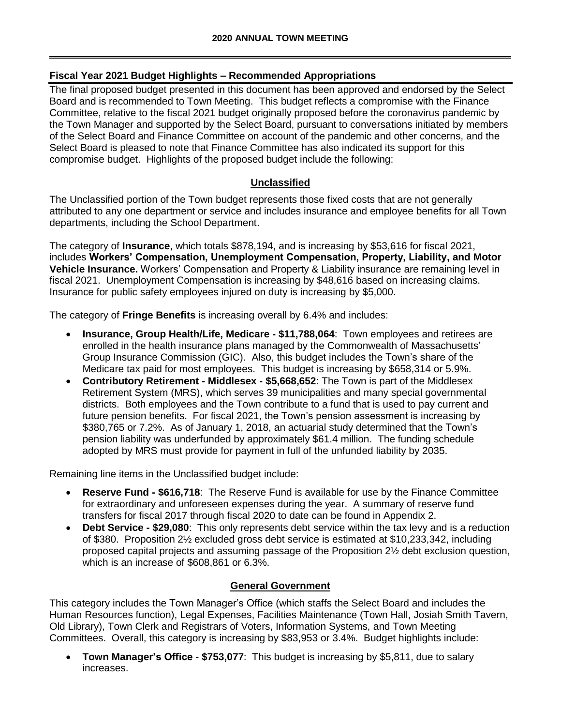#### **Fiscal Year 2021 Budget Highlights – Recommended Appropriations**

The final proposed budget presented in this document has been approved and endorsed by the Select Board and is recommended to Town Meeting. This budget reflects a compromise with the Finance Committee, relative to the fiscal 2021 budget originally proposed before the coronavirus pandemic by the Town Manager and supported by the Select Board, pursuant to conversations initiated by members of the Select Board and Finance Committee on account of the pandemic and other concerns, and the Select Board is pleased to note that Finance Committee has also indicated its support for this compromise budget. Highlights of the proposed budget include the following:

#### **Unclassified**

The Unclassified portion of the Town budget represents those fixed costs that are not generally attributed to any one department or service and includes insurance and employee benefits for all Town departments, including the School Department.

The category of **Insurance**, which totals \$878,194, and is increasing by \$53,616 for fiscal 2021, includes **Workers' Compensation, Unemployment Compensation, Property, Liability, and Motor Vehicle Insurance.** Workers' Compensation and Property & Liability insurance are remaining level in fiscal 2021. Unemployment Compensation is increasing by \$48,616 based on increasing claims. Insurance for public safety employees injured on duty is increasing by \$5,000.

The category of **Fringe Benefits** is increasing overall by 6.4% and includes:

- **Insurance, Group Health/Life, Medicare - \$11,788,064**: Town employees and retirees are enrolled in the health insurance plans managed by the Commonwealth of Massachusetts' Group Insurance Commission (GIC). Also, this budget includes the Town's share of the Medicare tax paid for most employees. This budget is increasing by \$658,314 or 5.9%.
- **Contributory Retirement - Middlesex - \$5,668,652**: The Town is part of the Middlesex Retirement System (MRS), which serves 39 municipalities and many special governmental districts. Both employees and the Town contribute to a fund that is used to pay current and future pension benefits. For fiscal 2021, the Town's pension assessment is increasing by \$380,765 or 7.2%. As of January 1, 2018, an actuarial study determined that the Town's pension liability was underfunded by approximately \$61.4 million. The funding schedule adopted by MRS must provide for payment in full of the unfunded liability by 2035.

Remaining line items in the Unclassified budget include:

- **Reserve Fund - \$616,718**: The Reserve Fund is available for use by the Finance Committee for extraordinary and unforeseen expenses during the year. A summary of reserve fund transfers for fiscal 2017 through fiscal 2020 to date can be found in Appendix 2.
- **Debt Service - \$29,080**: This only represents debt service within the tax levy and is a reduction of \$380. Proposition 2½ excluded gross debt service is estimated at \$10,233,342, including proposed capital projects and assuming passage of the Proposition 2½ debt exclusion question, which is an increase of \$608,861 or 6.3%.

#### **General Government**

This category includes the Town Manager's Office (which staffs the Select Board and includes the Human Resources function), Legal Expenses, Facilities Maintenance (Town Hall, Josiah Smith Tavern, Old Library), Town Clerk and Registrars of Voters, Information Systems, and Town Meeting Committees. Overall, this category is increasing by \$83,953 or 3.4%. Budget highlights include:

• **Town Manager's Office - \$753,077**: This budget is increasing by \$5,811, due to salary increases.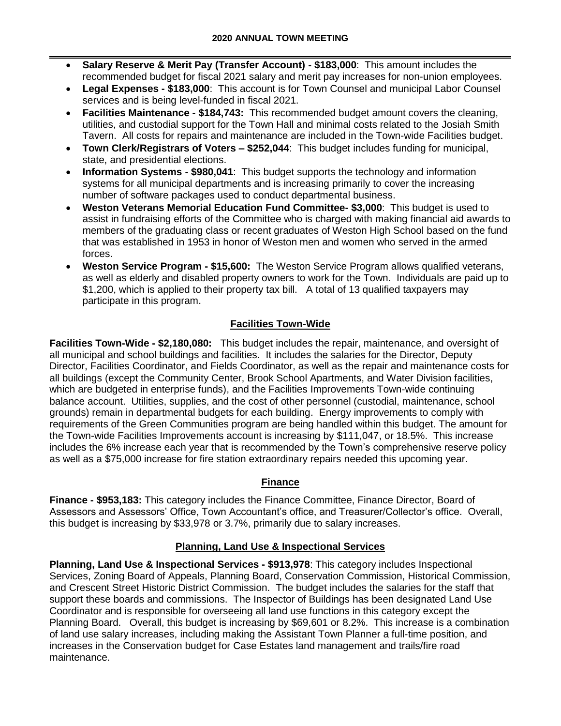- **Salary Reserve & Merit Pay (Transfer Account) - \$183,000**: This amount includes the recommended budget for fiscal 2021 salary and merit pay increases for non-union employees.
- **Legal Expenses - \$183,000**: This account is for Town Counsel and municipal Labor Counsel services and is being level-funded in fiscal 2021.
- **Facilities Maintenance - \$184,743:** This recommended budget amount covers the cleaning, utilities, and custodial support for the Town Hall and minimal costs related to the Josiah Smith Tavern. All costs for repairs and maintenance are included in the Town-wide Facilities budget.
- **Town Clerk/Registrars of Voters – \$252,044**: This budget includes funding for municipal, state, and presidential elections.
- **Information Systems - \$980,041**: This budget supports the technology and information systems for all municipal departments and is increasing primarily to cover the increasing number of software packages used to conduct departmental business.
- **Weston Veterans Memorial Education Fund Committee- \$3,000**: This budget is used to assist in fundraising efforts of the Committee who is charged with making financial aid awards to members of the graduating class or recent graduates of Weston High School based on the fund that was established in 1953 in honor of Weston men and women who served in the armed forces.
- **Weston Service Program - \$15,600:** The Weston Service Program allows qualified veterans, as well as elderly and disabled property owners to work for the Town. Individuals are paid up to \$1,200, which is applied to their property tax bill. A total of 13 qualified taxpayers may participate in this program.

# **Facilities Town-Wide**

**Facilities Town-Wide - \$2,180,080:** This budget includes the repair, maintenance, and oversight of all municipal and school buildings and facilities. It includes the salaries for the Director, Deputy Director, Facilities Coordinator, and Fields Coordinator, as well as the repair and maintenance costs for all buildings (except the Community Center, Brook School Apartments, and Water Division facilities, which are budgeted in enterprise funds), and the Facilities Improvements Town-wide continuing balance account. Utilities, supplies, and the cost of other personnel (custodial, maintenance, school grounds) remain in departmental budgets for each building. Energy improvements to comply with requirements of the Green Communities program are being handled within this budget. The amount for the Town-wide Facilities Improvements account is increasing by \$111,047, or 18.5%. This increase includes the 6% increase each year that is recommended by the Town's comprehensive reserve policy as well as a \$75,000 increase for fire station extraordinary repairs needed this upcoming year.

## **Finance**

**Finance - \$953,183:** This category includes the Finance Committee, Finance Director, Board of Assessors and Assessors' Office, Town Accountant's office, and Treasurer/Collector's office. Overall, this budget is increasing by \$33,978 or 3.7%, primarily due to salary increases.

## **Planning, Land Use & Inspectional Services**

**Planning, Land Use & Inspectional Services - \$913,978**: This category includes Inspectional Services, Zoning Board of Appeals, Planning Board, Conservation Commission, Historical Commission, and Crescent Street Historic District Commission. The budget includes the salaries for the staff that support these boards and commissions. The Inspector of Buildings has been designated Land Use Coordinator and is responsible for overseeing all land use functions in this category except the Planning Board. Overall, this budget is increasing by \$69,601 or 8.2%. This increase is a combination of land use salary increases, including making the Assistant Town Planner a full-time position, and increases in the Conservation budget for Case Estates land management and trails/fire road maintenance.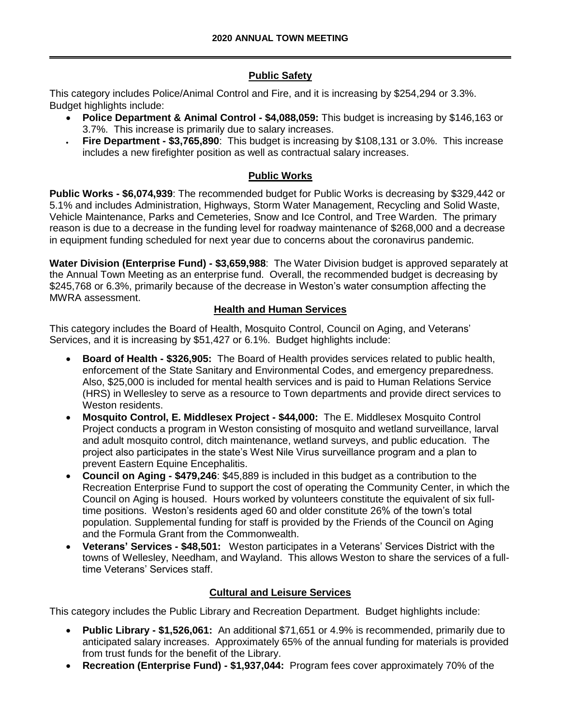## **Public Safety**

This category includes Police/Animal Control and Fire, and it is increasing by \$254,294 or 3.3%. Budget highlights include:

- **Police Department & Animal Control - \$4,088,059:** This budget is increasing by \$146,163 or 3.7%. This increase is primarily due to salary increases.
- **Fire Department - \$3,765,890**: This budget is increasing by \$108,131 or 3.0%. This increase includes a new firefighter position as well as contractual salary increases.

# **Public Works**

**Public Works - \$6,074,939**: The recommended budget for Public Works is decreasing by \$329,442 or 5.1% and includes Administration, Highways, Storm Water Management, Recycling and Solid Waste, Vehicle Maintenance, Parks and Cemeteries, Snow and Ice Control, and Tree Warden. The primary reason is due to a decrease in the funding level for roadway maintenance of \$268,000 and a decrease in equipment funding scheduled for next year due to concerns about the coronavirus pandemic.

**Water Division (Enterprise Fund) - \$3,659,988**: The Water Division budget is approved separately at the Annual Town Meeting as an enterprise fund. Overall, the recommended budget is decreasing by \$245,768 or 6.3%, primarily because of the decrease in Weston's water consumption affecting the MWRA assessment.

## **Health and Human Services**

This category includes the Board of Health, Mosquito Control, Council on Aging, and Veterans' Services, and it is increasing by \$51,427 or 6.1%. Budget highlights include:

- **Board of Health - \$326,905:** The Board of Health provides services related to public health, enforcement of the State Sanitary and Environmental Codes, and emergency preparedness. Also, \$25,000 is included for mental health services and is paid to Human Relations Service (HRS) in Wellesley to serve as a resource to Town departments and provide direct services to Weston residents.
- **Mosquito Control, E. Middlesex Project - \$44,000:** The E. Middlesex Mosquito Control Project conducts a program in Weston consisting of mosquito and wetland surveillance, larval and adult mosquito control, ditch maintenance, wetland surveys, and public education. The project also participates in the state's West Nile Virus surveillance program and a plan to prevent Eastern Equine Encephalitis.
- **Council on Aging - \$479,246**: \$45,889 is included in this budget as a contribution to the Recreation Enterprise Fund to support the cost of operating the Community Center, in which the Council on Aging is housed. Hours worked by volunteers constitute the equivalent of six fulltime positions. Weston's residents aged 60 and older constitute 26% of the town's total population. Supplemental funding for staff is provided by the Friends of the Council on Aging and the Formula Grant from the Commonwealth.
- **Veterans' Services - \$48,501:** Weston participates in a Veterans' Services District with the towns of Wellesley, Needham, and Wayland. This allows Weston to share the services of a fulltime Veterans' Services staff.

## **Cultural and Leisure Services**

This category includes the Public Library and Recreation Department. Budget highlights include:

- **Public Library - \$1,526,061:** An additional \$71,651 or 4.9% is recommended, primarily due to anticipated salary increases. Approximately 65% of the annual funding for materials is provided from trust funds for the benefit of the Library.
- **Recreation (Enterprise Fund) - \$1,937,044:** Program fees cover approximately 70% of the